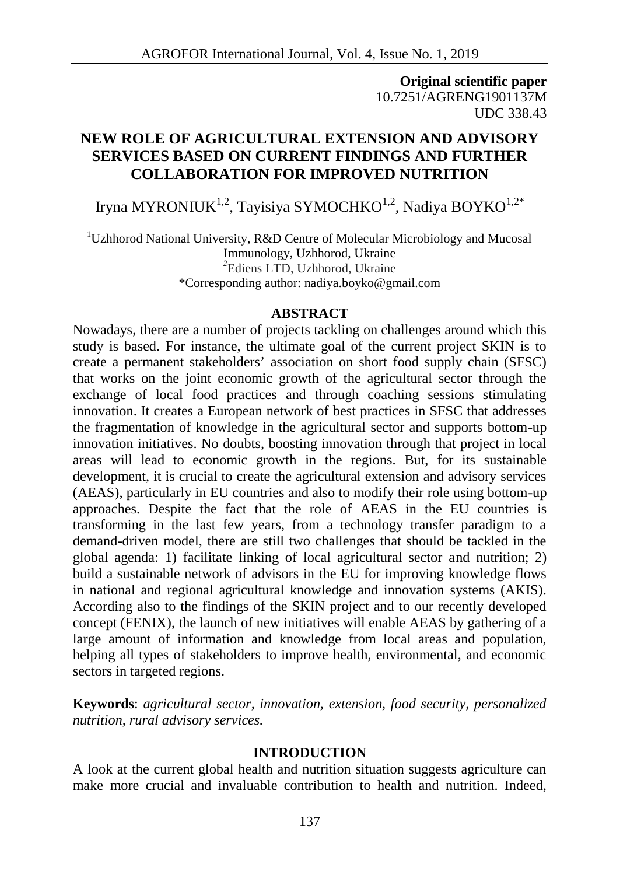**Original scientific paper** 10.7251/AGRENG1901137M UDC 338.43

# **NEW ROLE OF AGRICULTURAL EXTENSION AND ADVISORY SERVICES BASED ON CURRENT FINDINGS AND FURTHER COLLABORATION FOR IMPROVED NUTRITION**

Iryna MYRONIUK<sup>1,2</sup>, Tayisiya SYMOCHKO<sup>1,2</sup>, Nadiya BOYKO<sup>1,2\*</sup>

<sup>1</sup>Uzhhorod National University, R&D Centre of Molecular Microbiology and Mucosal Immunology, Uzhhorod, Ukraine *<sup>2</sup>*Ediens LTD, Uzhhorod, Ukraine \*Corresponding author: nadiya.boyko@gmail.com

### **ABSTRACT**

Nowadays, there are a number of projects tackling on challenges around which this study is based. For instance, the ultimate goal of the current project SKIN is to create a permanent stakeholders' association on short food supply chain (SFSC) that works on the joint economic growth of the agricultural sector through the exchange of local food practices and through coaching sessions stimulating innovation. It creates a European network of best practices in SFSC that addresses the fragmentation of knowledge in the agricultural sector and supports bottom-up innovation initiatives. No doubts, boosting innovation through that project in local areas will lead to economic growth in the regions. But, for its sustainable development, it is crucial to create the agricultural extension and advisory services (AEAS), particularly in EU countries and also to modify their role using bottom-up approaches. Despite the fact that the role of AEAS in the EU countries is transforming in the last few years, from a technology transfer paradigm to a demand-driven model, there are still two challenges that should be tackled in the global agenda: 1) facilitate linking of local agricultural sector and nutrition; 2) build a sustainable network of advisors in the EU for improving knowledge flows in national and regional agricultural knowledge and innovation systems (AKIS). According also to the findings of the SKIN project and to our recently developed concept (FENIX), the launch of new initiatives will enable AEAS by gathering of a large amount of information and knowledge from local areas and population, helping all types of stakeholders to improve health, environmental, and economic sectors in targeted regions.

**Keywords**: *agricultural sector, innovation, extension, food security, personalized nutrition, rural advisory services.*

## **INTRODUCTION**

A look at the current global health and nutrition situation suggests agriculture can make more crucial and invaluable contribution to health and nutrition. Indeed,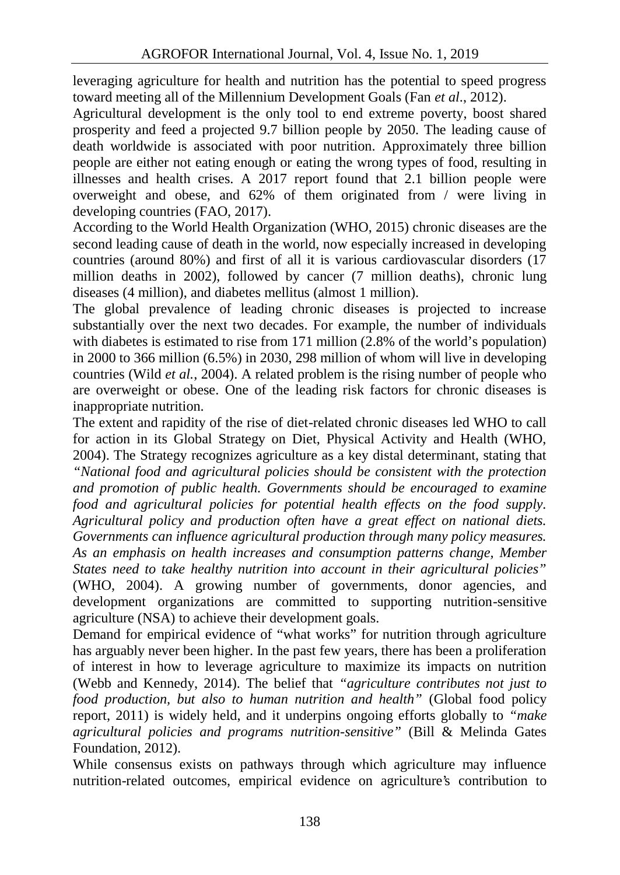leveraging agriculture for health and nutrition has the potential to speed progress toward meeting all of the Millennium Development Goals (Fan *et al*., 2012).

Agricultural development is the only tool to end extreme poverty, boost shared prosperity and feed a projected 9.7 billion people by 2050. The leading cause of death worldwide is associated with poor nutrition. Approximately three billion people are either not eating enough or eating the wrong types of food, resulting in illnesses and health crises. A 2017 report found that 2.1 billion people were overweight and obese, and 62% of them originated from / were living in developing countries (FAO, 2017).

According to the World Health Organization (WHO, 2015) chronic diseases are the second leading cause of death in the world, now especially increased in developing countries (around 80%) and first of all it is various cardiovascular disorders (17 million deaths in 2002), followed by cancer (7 million deaths), chronic lung diseases (4 million), and diabetes mellitus (almost 1 million).

The global prevalence of leading chronic diseases is projected to increase substantially over the next two decades. For example, the number of individuals with diabetes is estimated to rise from 171 million (2.8% of the world's population) in 2000 to 366 million (6.5%) in 2030, 298 million of whom will live in developing countries (Wild *et al.*, 2004). A related problem is the rising number of people who are overweight or obese. One of the leading risk factors for chronic diseases is inappropriate nutrition.

The extent and rapidity of the rise of diet-related chronic diseases led WHO to call for action in its Global Strategy on Diet, Physical Activity and Health (WHO, 2004). The Strategy recognizes agriculture as a key distal determinant, stating that *"National food and agricultural policies should be consistent with the protection and promotion of public health. Governments should be encouraged to examine food and agricultural policies for potential health effects on the food supply. Agricultural policy and production often have a great effect on national diets. Governments can influence agricultural production through many policy measures. As an emphasis on health increases and consumption patterns change, Member States need to take healthy nutrition into account in their agricultural policies"* (WHO, 2004). A growing number of governments, donor agencies, and development organizations are committed to supporting nutrition-sensitive agriculture (NSA) to achieve their development goals.

Demand for empirical evidence of "what works" for nutrition through agriculture has arguably never been higher. In the past few years, there has been a proliferation of interest in how to leverage agriculture to maximize its impacts on nutrition (Webb and Kennedy, 2014). The belief that *"agriculture contributes not just to food production, but also to human nutrition and health"* (Global food policy report, 2011) is widely held, and it underpins ongoing efforts globally to *"make agricultural policies and programs nutrition-sensitive"* (Bill & Melinda Gates Foundation, 2012).

While consensus exists on pathways through which agriculture may influence nutrition-related outcomes, empirical evidence on agriculture's contribution to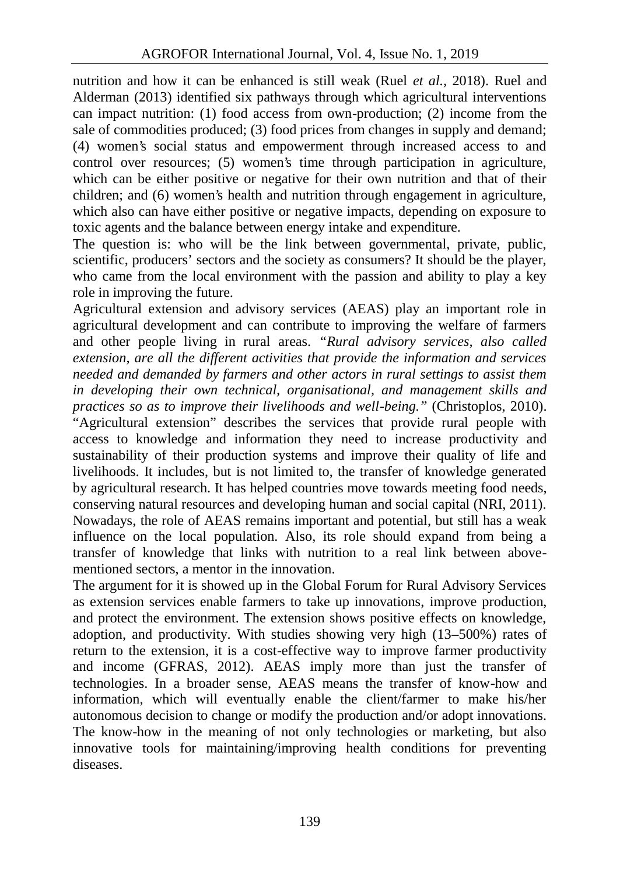nutrition and how it can be enhanced is still weak (Ruel *et al.,* 2018). Ruel and Alderman (2013) identified six pathways through which agricultural interventions can impact nutrition: (1) food access from own-production; (2) income from the sale of commodities produced; (3) food prices from changes in supply and demand; (4) women's social status and empowerment through increased access to and control over resources; (5) women's time through participation in agriculture, which can be either positive or negative for their own nutrition and that of their children; and (6) women's health and nutrition through engagement in agriculture, which also can have either positive or negative impacts, depending on exposure to toxic agents and the balance between energy intake and expenditure.

The question is: who will be the link between governmental, private, public, scientific, producers' sectors and the society as consumers? It should be the player, who came from the local environment with the passion and ability to play a key role in improving the future.

Agricultural extension and advisory services (AEAS) play an important role in agricultural development and can contribute to improving the welfare of farmers and other people living in rural areas. *"Rural advisory services, also called extension, are all the different activities that provide the information and services needed and demanded by farmers and other actors in rural settings to assist them in developing their own technical, organisational, and management skills and practices so as to improve their livelihoods and well-being."* (Christoplos, 2010). "Agricultural extension" describes the services that provide rural people with access to knowledge and information they need to increase productivity and sustainability of their production systems and improve their quality of life and livelihoods. It includes, but is not limited to, the transfer of knowledge generated by agricultural research. It has helped countries move towards meeting food needs, conserving natural resources and developing human and social capital (NRI, 2011). Nowadays, the role of AEAS remains important and potential, but still has a weak influence on the local population. Also, its role should expand from being a transfer of knowledge that links with nutrition to a real link between above mentioned sectors, a mentor in the innovation.

The argument for it is showed up in the Global Forum for Rural Advisory Services as extension services enable farmers to take up innovations, improve production, and protect the environment. The extension shows positive effects on knowledge, adoption, and productivity. With studies showing very high (13–500%) rates of return to the extension, it is a cost-effective way to improve farmer productivity and income (GFRAS, 2012). AEAS imply more than just the transfer of technologies. In a broader sense, AEAS means the transfer of know-how and information, which will eventually enable the client/farmer to make his/her autonomous decision to change or modify the production and/or adopt innovations. The know-how in the meaning of not only technologies or marketing, but also innovative tools for maintaining/improving health conditions for preventing diseases.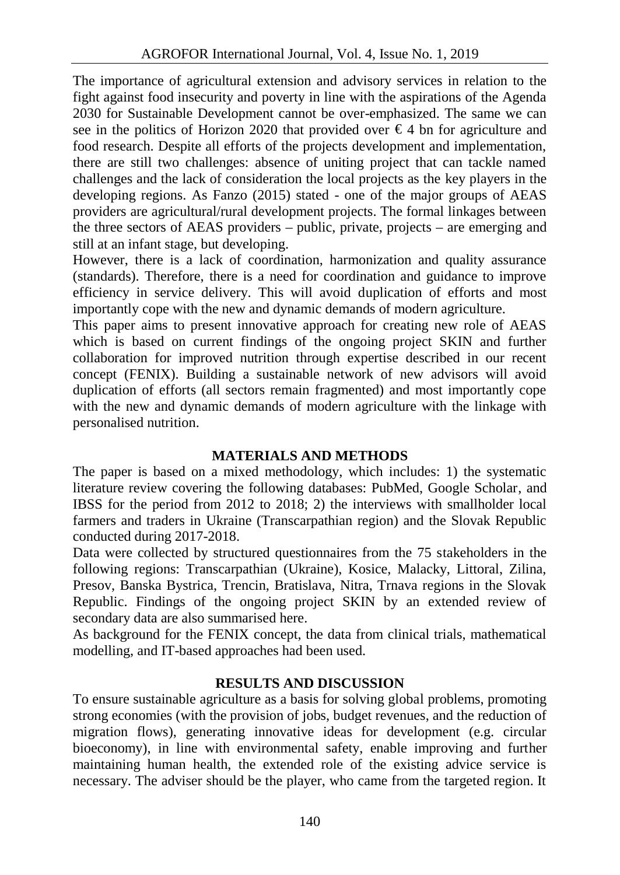The importance of agricultural extension and advisory services in relation to the fight against food insecurity and poverty in line with the aspirations of the Agenda 2030 for Sustainable Development cannot be over-emphasized. The same we can see in the politics of Horizon 2020 that provided over  $\epsilon$ 4 bn for agriculture and food research. Despite all efforts of the projects development and implementation, there are still two challenges: absence of uniting project that can tackle named challenges and the lack of consideration the local projects as the key players in the developing regions. As Fanzo (2015) stated - one of the major groups of AEAS providers are agricultural/rural development projects. The formal linkages between the three sectors of AEAS providers – public, private, projects – are emerging and still at an infant stage, but developing.

However, there is a lack of coordination, harmonization and quality assurance (standards). Therefore, there is a need for coordination and guidance to improve efficiency in service delivery. This will avoid duplication of efforts and most importantly cope with the new and dynamic demands of modern agriculture.

This paper aims to present innovative approach for creating new role of AEAS which is based on current findings of the ongoing project SKIN and further collaboration for improved nutrition through expertise described in our recent concept (FENIX). Building a sustainable network of new advisors will avoid duplication of efforts (all sectors remain fragmented) and most importantly cope with the new and dynamic demands of modern agriculture with the linkage with personalised nutrition.

## **MATERIALS AND METHODS**

The paper is based on a mixed methodology, which includes: 1) the systematic literature review covering the following databases: PubMed, Google Scholar, and IBSS for the period from 2012 to 2018; 2) the interviews with smallholder local farmers and traders in Ukraine (Transcarpathian region) and the Slovak Republic conducted during 2017-2018.

Data were collected by structured questionnaires from the 75 stakeholders in the following regions: Transcarpathian (Ukraine), Kosice, Malacky, Littoral, Zilina, Presov, Banska Bystrica, Trencin, Bratislava, Nitra, Trnava regions in the Slovak Republic. Findings of the ongoing project SKIN by an extended review of secondary data are also summarised here.

As background for the FENIX concept, the data from clinical trials, mathematical modelling, and IT-based approaches had been used.

# **RESULTS AND DISCUSSION**

To ensure sustainable agriculture as a basis for solving global problems, promoting strong economies (with the provision of jobs, budget revenues, and the reduction of migration flows), generating innovative ideas for development (e.g. circular bioeconomy), in line with environmental safety, enable improving and further maintaining human health, the extended role of the existing advice service is necessary. The adviser should be the player, who came from the targeted region. It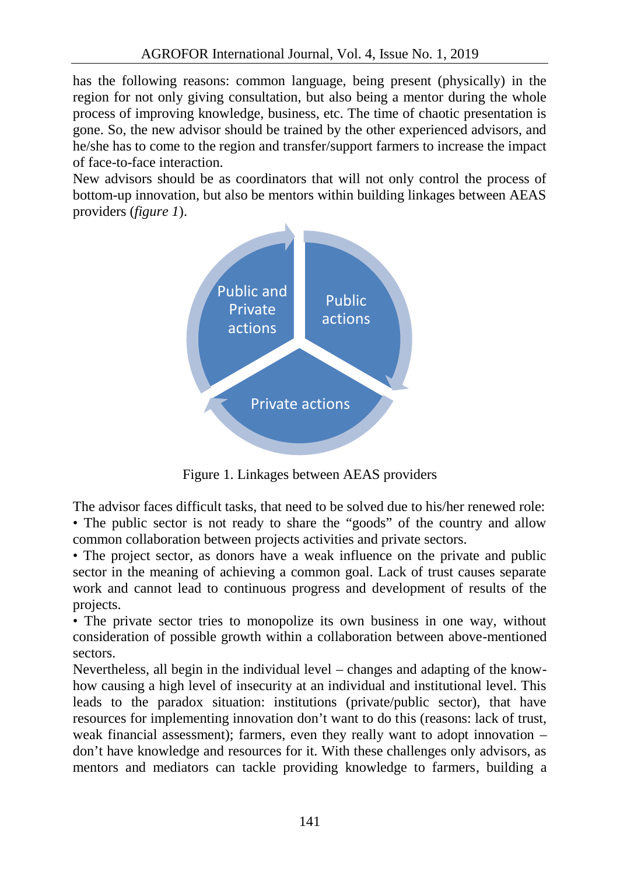has the following reasons: common language, being present (physically) in the region for not only giving consultation, but also being a mentor during the whole process of improving knowledge, business, etc. The time of chaotic presentation is gone. So, the new advisor should be trained by the other experienced advisors, and he/she has to come to the region and transfer/support farmers to increase the impact of face-to-face interaction.

New advisors should be as coordinators that will not only control the process of bottom-up innovation, but also be mentors within building linkages between AEAS providers (*figure 1*).



Figure 1. Linkages between AEAS providers

The advisor faces difficult tasks, that need to be solved due to his/her renewed role: • The public sector is not ready to share the "goods" of the country and allow common collaboration between projects activities and private sectors.

• The project sector, as donors have a weak influence on the private and public sector in the meaning of achieving a common goal. Lack of trust causes separate work and cannot lead to continuous progress and development of results of the projects.

• The private sector tries to monopolize its own business in one way, without consideration of possible growth within a collaboration between above-mentioned sectors.

Nevertheless, all begin in the individual level – changes and adapting of the know how causing a high level of insecurity at an individual and institutional level. This leads to the paradox situation: institutions (private/public sector), that have resources for implementing innovation don't want to do this (reasons: lack of trust, weak financial assessment); farmers, even they really want to adopt innovation – don't have knowledge and resources for it. With these challenges only advisors, as mentors and mediators can tackle providing knowledge to farmers, building a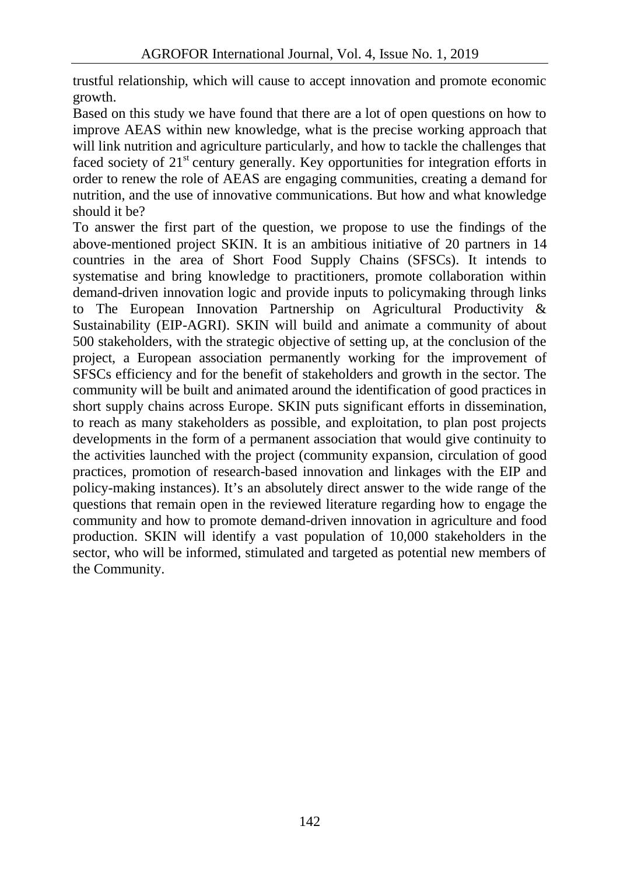trustful relationship, which will cause to accept innovation and promote economic growth.

Based on this study we have found that there are a lot of open questions on how to improve AEAS within new knowledge, what is the precise working approach that will link nutrition and agriculture particularly, and how to tackle the challenges that faced society of  $21<sup>st</sup>$  century generally. Key opportunities for integration efforts in order to renew the role of AEAS are engaging communities, creating a demand for nutrition, and the use of innovative communications. But how and what knowledge should it be?

To answer the first part of the question, we propose to use the findings of the above-mentioned project SKIN. It is an ambitious initiative of 20 partners in 14 countries in the area of Short Food Supply Chains (SFSCs). It intends to systematise and bring knowledge to practitioners, promote collaboration within demand-driven innovation logic and provide inputs to policymaking through links to The European Innovation Partnership on Agricultural Productivity & Sustainability (EIP-AGRI). SKIN will build and animate a community of about 500 stakeholders, with the strategic objective of setting up, at the conclusion of the project, a European association permanently working for the improvement of SFSCs efficiency and for the benefit of stakeholders and growth in the sector. The community will be built and animated around the identification of good practices in short supply chains across Europe. SKIN puts significant efforts in dissemination, to reach as many stakeholders as possible, and exploitation, to plan post projects developments in the form of a permanent association that would give continuity to the activities launched with the project (community expansion, circulation of good practices, promotion of research-based innovation and linkages with the EIP and policy-making instances). It's an absolutely direct answer to the wide range of the questions that remain open in the reviewed literature regarding how to engage the community and how to promote demand-driven innovation in agriculture and food production. SKIN will identify a vast population of 10,000 stakeholders in the sector, who will be informed, stimulated and targeted as potential new members of the Community.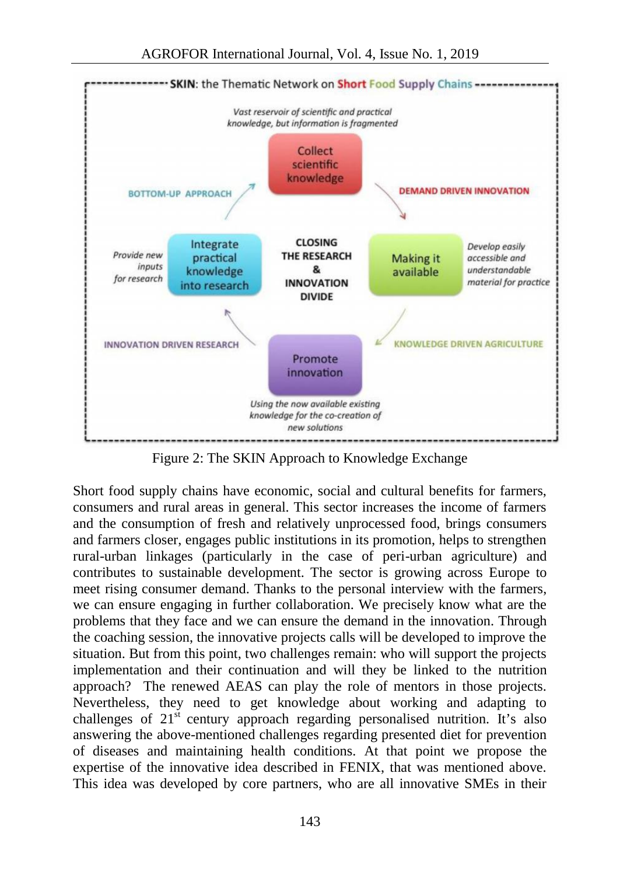

Figure 2: The SKIN Approach to Knowledge Exchange

Short food supply chains have economic, social and cultural benefits for farmers, consumers and rural areas in general. This sector increases the income of farmers and the consumption of fresh and relatively unprocessed food, brings consumers and farmers closer, engages public institutions in its promotion, helps to strengthen rural-urban linkages (particularly in the case of peri-urban agriculture) and contributes to sustainable development. The sector is growing across Europe to meet rising consumer demand. Thanks to the personal interview with the farmers, we can ensure engaging in further collaboration. We precisely know what are the problems that they face and we can ensure the demand in the innovation. Through the coaching session, the innovative projects calls will be developed to improve the situation. But from this point, two challenges remain: who will support the projects implementation and their continuation and will they be linked to the nutrition approach? The renewed AEAS can play the role of mentors in those projects. Nevertheless, they need to get knowledge about working and adapting to challenges of  $21<sup>st</sup>$  century approach regarding personalised nutrition. It's also answering the above-mentioned challenges regarding presented diet for prevention of diseases and maintaining health conditions. At that point we propose the expertise of the innovative idea described in FENIX, that was mentioned above. This idea was developed by core partners, who are all innovative SMEs in their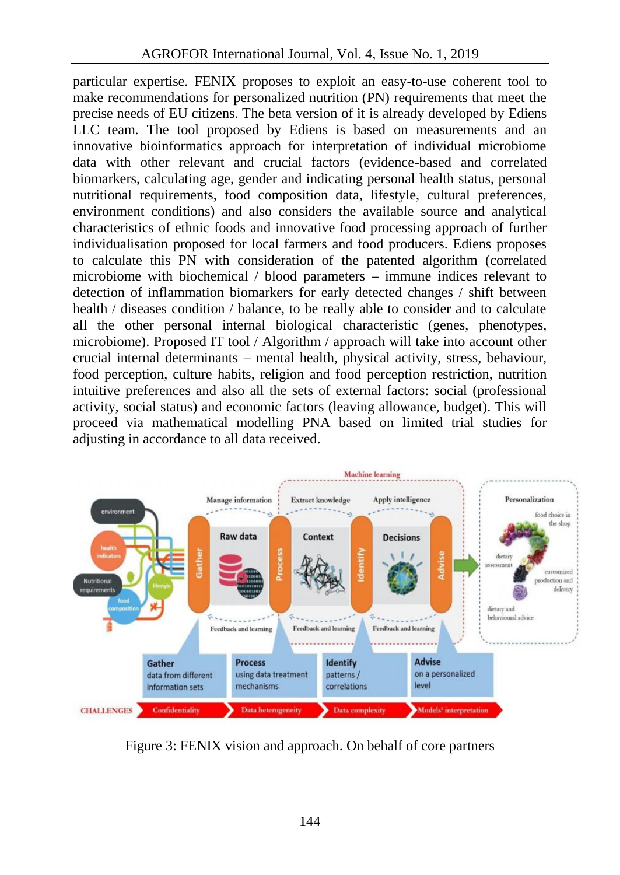particular expertise. FENIX proposes to exploit an easy-to-use coherent tool to make recommendations for personalized nutrition (PN) requirements that meet the precise needs of EU citizens. The beta version of it is already developed by Ediens LLC team. The tool proposed by Ediens is based on measurements and an innovative bioinformatics approach for interpretation of individual microbiome data with other relevant and crucial factors (evidence-based and correlated biomarkers, calculating age, gender and indicating personal health status, personal nutritional requirements, food composition data, lifestyle, cultural preferences, environment conditions) and also considers the available source and analytical characteristics of ethnic foods and innovative food processing approach of further individualisation proposed for local farmers and food producers. Ediens proposes to calculate this PN with consideration of the patented algorithm (correlated microbiome with biochemical / blood parameters – immune indices relevant to detection of inflammation biomarkers for early detected changes / shift between health / diseases condition / balance, to be really able to consider and to calculate all the other personal internal biological characteristic (genes, phenotypes, microbiome). Proposed IT tool / Algorithm / approach will take into account other crucial internal determinants – mental health, physical activity, stress, behaviour, food perception, culture habits, religion and food perception restriction, nutrition intuitive preferences and also all the sets of external factors: social (professional activity, social status) and economic factors (leaving allowance, budget). This will proceed via mathematical modelling PNA based on limited trial studies for adjusting in accordance to all data received.



Figure 3: FENIX vision and approach. On behalf of core partners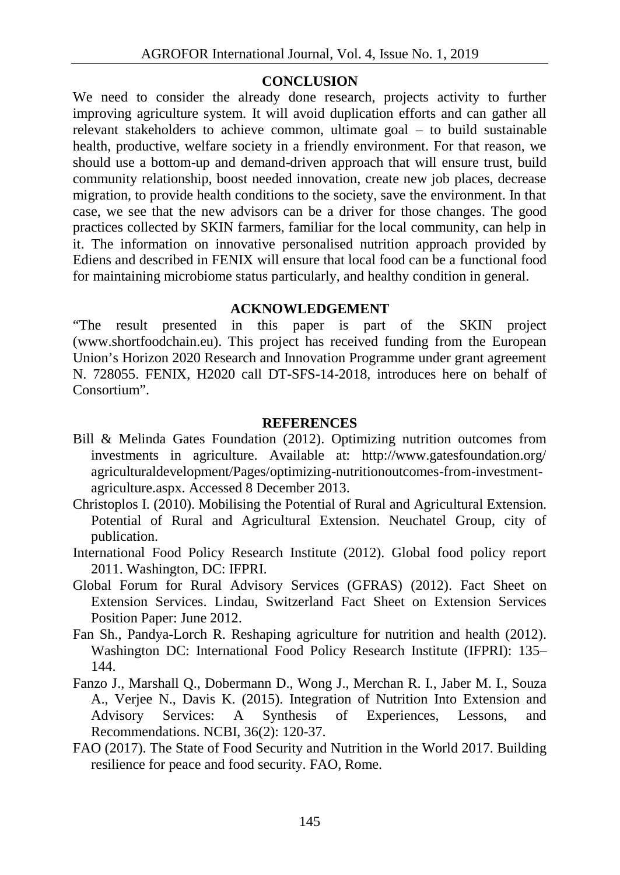### **CONCLUSION**

We need to consider the already done research, projects activity to further improving agriculture system. It will avoid duplication efforts and can gather all relevant stakeholders to achieve common, ultimate goal – to build sustainable health, productive, welfare society in a friendly environment. For that reason, we should use a bottom-up and demand-driven approach that will ensure trust, build community relationship, boost needed innovation, create new job places, decrease migration, to provide health conditions to the society, save the environment. In that case, we see that the new advisors can be a driver for those changes. The good practices collected by SKIN farmers, familiar for the local community, can help in it. The information on innovative personalised nutrition approach provided by Ediens and described in FENIX will ensure that local food can be a functional food for maintaining microbiome status particularly, and healthy condition in general.

### **ACKNOWLEDGEMENT**

"The result presented in this paper is part of the SKIN project (www.shortfoodchain.eu). This project has received funding from the European Union's Horizon 2020 Research and Innovation Programme under grant agreement N. 728055. FENIX, H2020 call DT-SFS-14-2018, introduces here on behalf of Consortium".

### **REFERENCES**

- Bill & Melinda Gates Foundation (2012). Optimizing nutrition outcomes from investments in agriculture. Available at: http://www.gatesfoundation.org/ agriculturaldevelopment/Pages/optimizing-nutritionoutcomes-from-investment agriculture.aspx. Accessed 8 December 2013.
- Christoplos I. (2010). Mobilising the Potential of Rural and Agricultural Extension. Potential of Rural and Agricultural Extension. Neuchatel Group, city of publication.
- International Food Policy Research Institute (2012). Global food policy report 2011. Washington, DC: IFPRI.
- Global Forum for Rural Advisory Services (GFRAS) (2012). Fact Sheet on Extension Services. Lindau, Switzerland Fact Sheet on Extension Services Position Paper: June 2012.
- Fan Sh., Pandya-Lorch R. Reshaping agriculture for nutrition and health (2012). Washington DC: International Food Policy Research Institute (IFPRI): 135– 144.
- Fanzo J., Marshall Q., Dobermann D., Wong J., Merchan R. I., Jaber M. I., Souza A., Verjee N., Davis K. (2015). Integration of Nutrition Into Extension and Advisory Services: A Synthesis of Experiences, Lessons, and Recommendations. NCBI, 36(2): 120-37.
- FAO (2017). The State of Food Security and Nutrition in the World 2017. Building resilience for peace and food security. FAO, Rome.